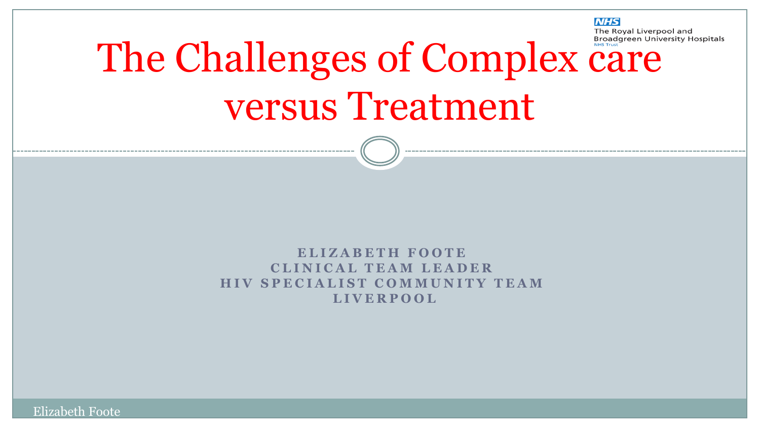#### **NHS**

The Royal Liverpool and

# The Challenges of Complex care versus Treatment

**E L I Z A B E T H F O O T E C L I N I C A L T E A M L E A D E R HIV SPECIALIST COMMUNITY TEAM L I V E R P O O L**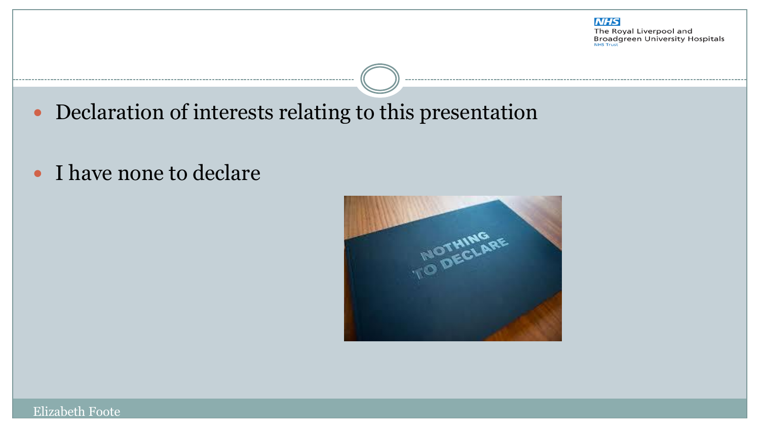

Declaration of interests relating to this presentation

• I have none to declare

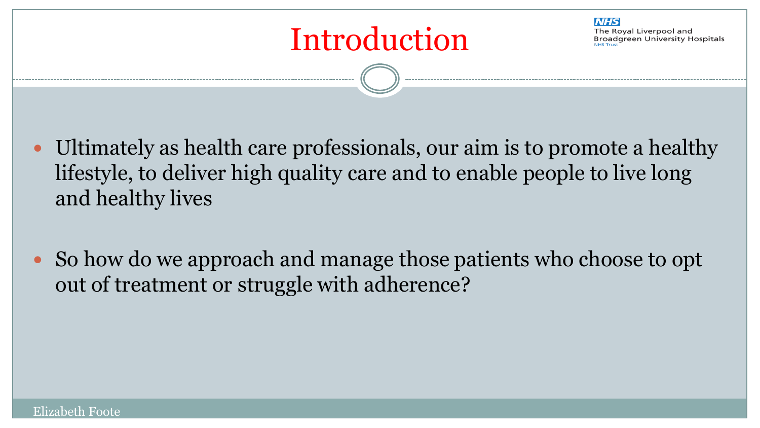



- Ultimately as health care professionals, our aim is to promote a healthy lifestyle, to deliver high quality care and to enable people to live long and healthy lives
- So how do we approach and manage those patients who choose to opt out of treatment or struggle with adherence?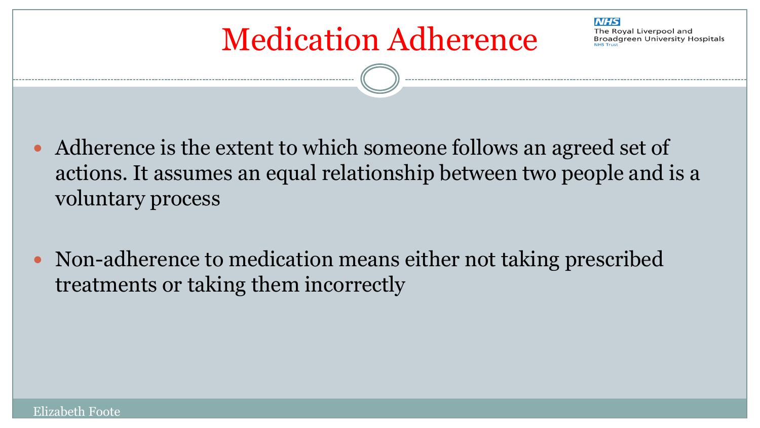### Medication Adherence

**NHS** The Roval Liverpool and **Broadgreen University Hospitals** 

- Adherence is the extent to which someone follows an agreed set of actions. It assumes an equal relationship between two people and is a voluntary process
- Non-adherence to medication means either not taking prescribed treatments or taking them incorrectly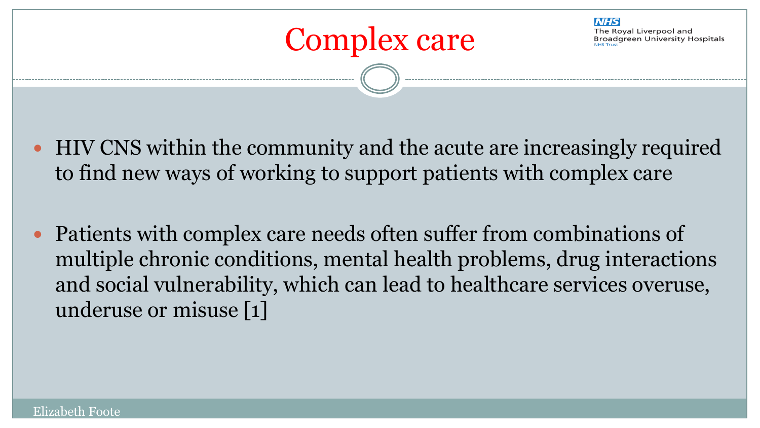

**NHS** 

- HIV CNS within the community and the acute are increasingly required to find new ways of working to support patients with complex care
- Patients with complex care needs often suffer from combinations of multiple chronic conditions, mental health problems, drug interactions and social vulnerability, which can lead to healthcare services overuse, underuse or misuse [1]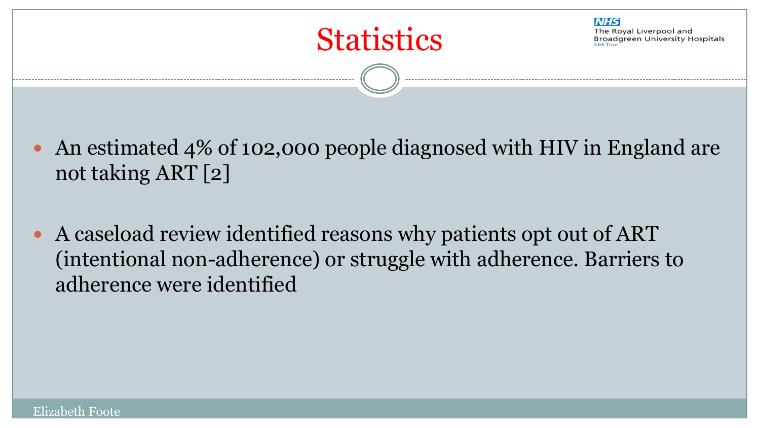

**NHS** 

- An estimated 4% of 102,000 people diagnosed with HIV in England are not taking ART [2]
- A caseload review identified reasons why patients opt out of ART (intentional non-adherence) or struggle with adherence. Barriers to adherence were identified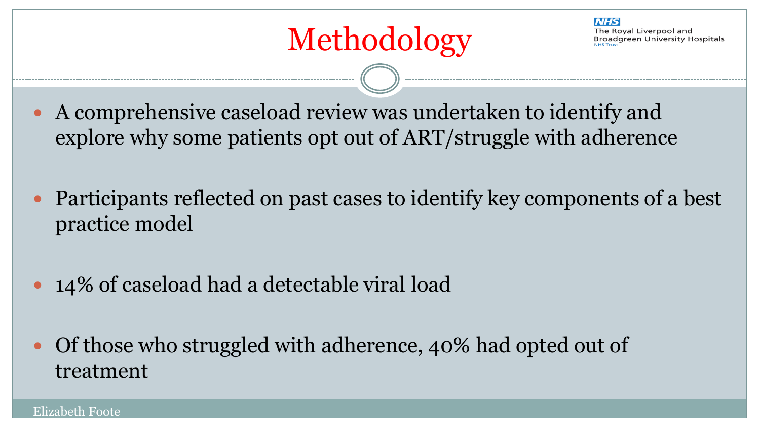- A comprehensive caseload review was undertaken to identify and explore why some patients opt out of ART/struggle with adherence
- Participants reflected on past cases to identify key components of a best practice model
- 14% of caseload had a detectable viral load
- Of those who struggled with adherence, 40% had opted out of treatment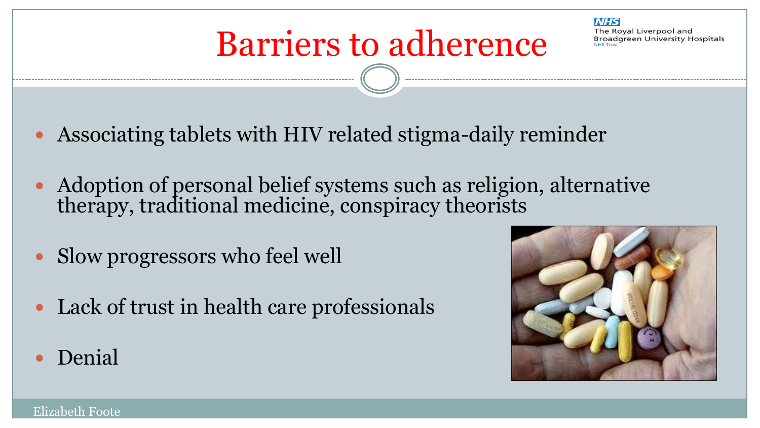

### Barriers to adherence

- Associating tablets with HIV related stigma-daily reminder
- Adoption of personal belief systems such as religion, alternative therapy, traditional medicine, conspiracy theorists
- Slow progressors who feel well
- Lack of trust in health care professionals
- Denial

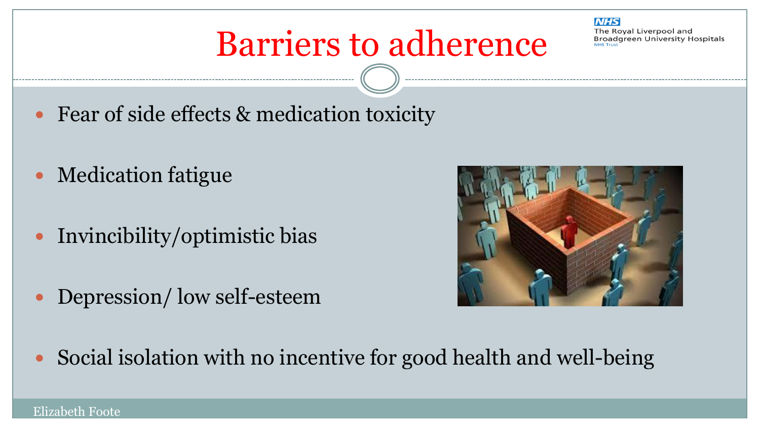#### **NHS**

The Roval Liverpool and **Broadgreen University Hospitals** 

### Barriers to adherence

- Fear of side effects & medication toxicity
- Medication fatigue
- Invincibility/optimistic bias
- Depression/ low self-esteem



• Social isolation with no incentive for good health and well-being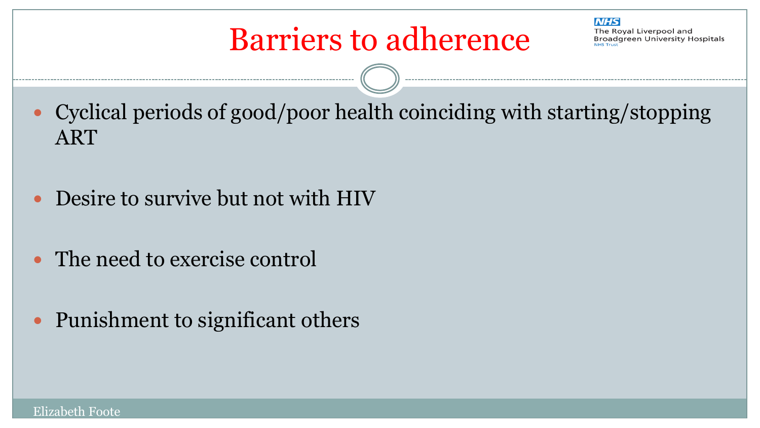- Cyclical periods of good/poor health coinciding with starting/stopping ART
- Desire to survive but not with HIV
- The need to exercise control
- Punishment to significant others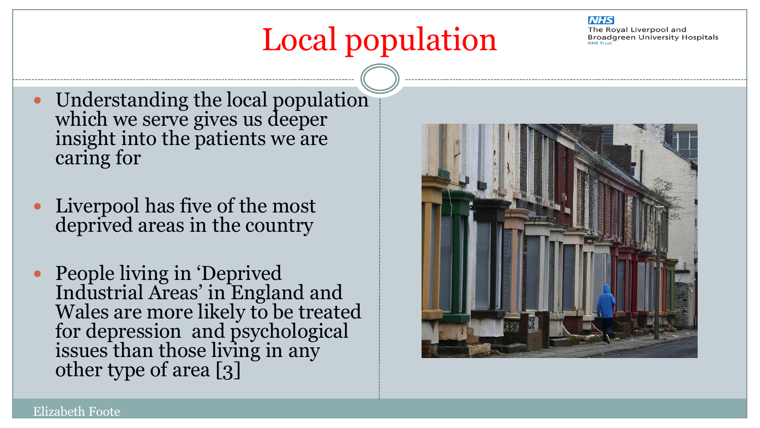## Local population

#### **NHS**

The Royal Liverpool and **Broadgreen University Hospitals** 

- Understanding the local population which we serve gives us deeper insight into the patients we are caring for
- Liverpool has five of the most deprived areas in the country
- People living in 'Deprived Industrial Areas' in England and Wales are more likely to be treated for depression and psychological issues than those living in any other type of area [3]

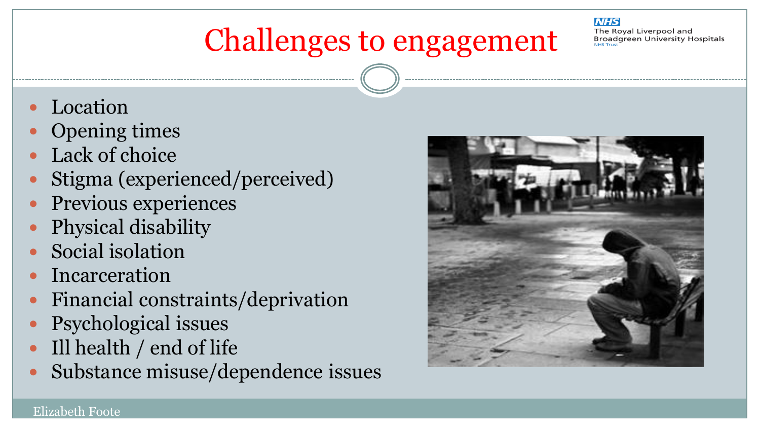### Challenges to engagement

**NHS** The Roval Liverpool and **Broadgreen University Hospitals** 

- Location
- Opening times
- Lack of choice
- Stigma (experienced/perceived)
- Previous experiences
- Physical disability
- Social isolation
- Incarceration
- Financial constraints/deprivation
- Psychological issues
- Ill health / end of life
- Substance misuse/dependence issues

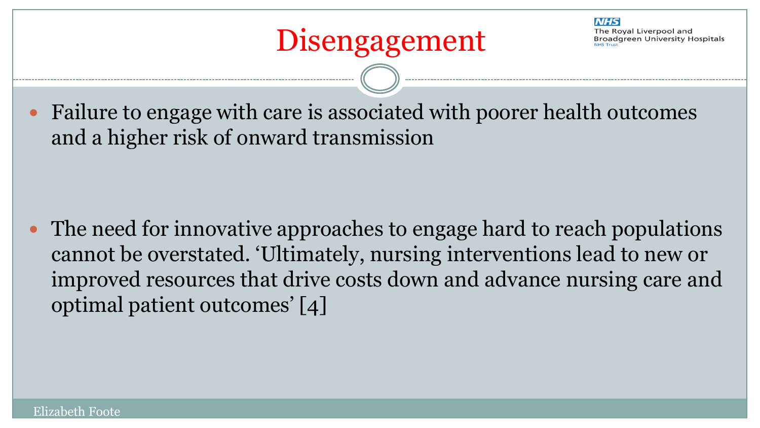**NHS** The Roval Liverpool and **Broadgreen University Hospitals** 

 Failure to engage with care is associated with poorer health outcomes and a higher risk of onward transmission

 The need for innovative approaches to engage hard to reach populations cannot be overstated. 'Ultimately, nursing interventions lead to new or improved resources that drive costs down and advance nursing care and optimal patient outcomes' [4]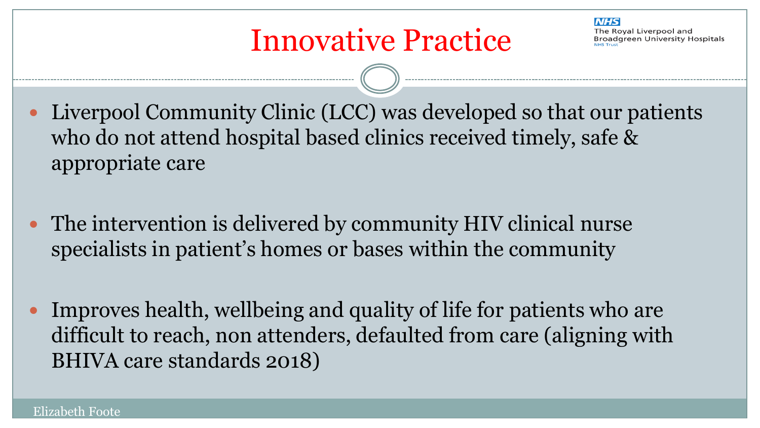- Liverpool Community Clinic (LCC) was developed so that our patients who do not attend hospital based clinics received timely, safe & appropriate care
- The intervention is delivered by community HIV clinical nurse specialists in patient's homes or bases within the community
- Improves health, wellbeing and quality of life for patients who are difficult to reach, non attenders, defaulted from care (aligning with BHIVA care standards 2018)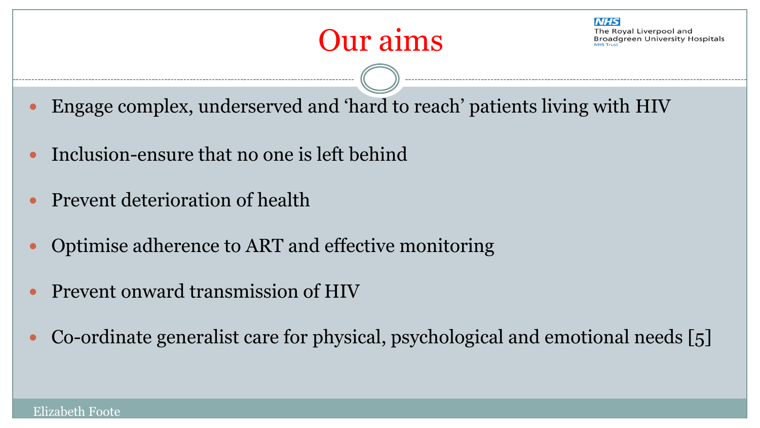- Engage complex, underserved and 'hard to reach' patients living with HIV
- Inclusion-ensure that no one is left behind
- Prevent deterioration of health
- Optimise adherence to ART and effective monitoring
- Prevent onward transmission of HIV
- Co-ordinate generalist care for physical, psychological and emotional needs [5]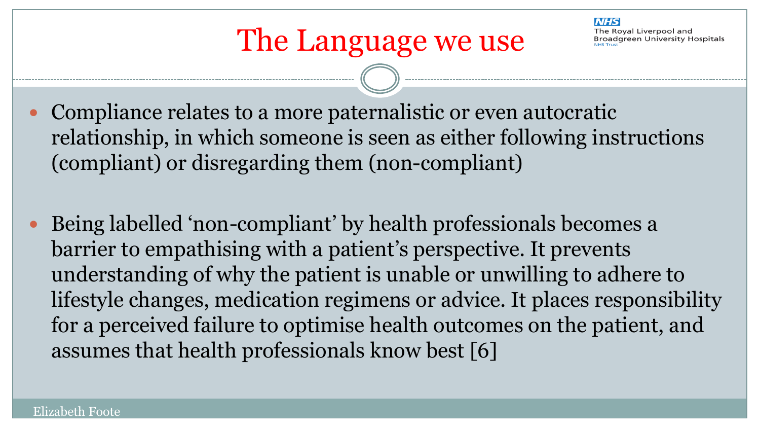- Compliance relates to a more paternalistic or even autocratic relationship, in which someone is seen as either following instructions (compliant) or disregarding them (non-compliant)
- Being labelled 'non-compliant' by health professionals becomes a barrier to empathising with a patient's perspective. It prevents understanding of why the patient is unable or unwilling to adhere to lifestyle changes, medication regimens or advice. It places responsibility for a perceived failure to optimise health outcomes on the patient, and assumes that health professionals know best [6]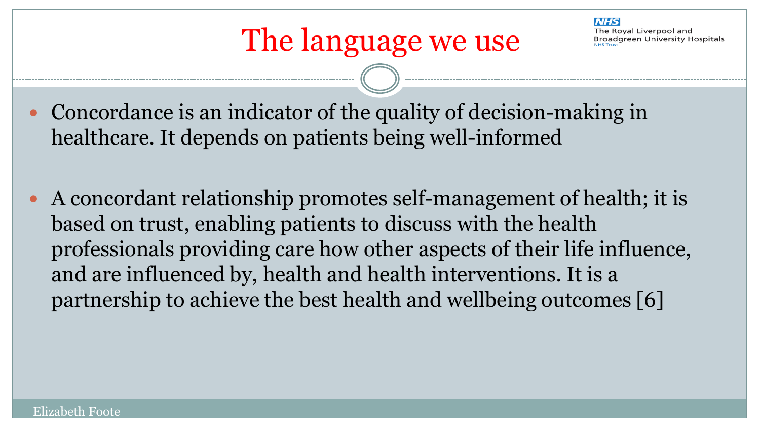

- Concordance is an indicator of the quality of decision-making in healthcare. It depends on patients being well-informed
- A concordant relationship promotes self-management of health; it is based on trust, enabling patients to discuss with the health professionals providing care how other aspects of their life influence, and are influenced by, health and health interventions. It is a partnership to achieve the best health and wellbeing outcomes [6]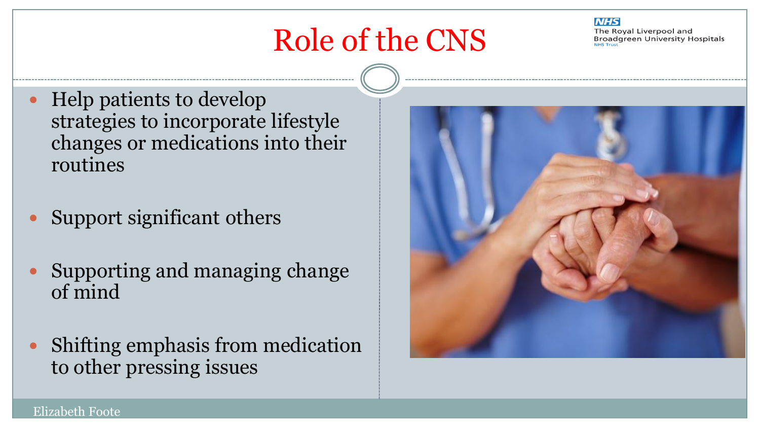

The Roval Liverpool and **Broadgreen University Hospitals** 

- Help patients to develop strategies to incorporate lifestyle changes or medications into their routines
- Support significant others
- Supporting and managing change of mind
- Shifting emphasis from medication to other pressing issues

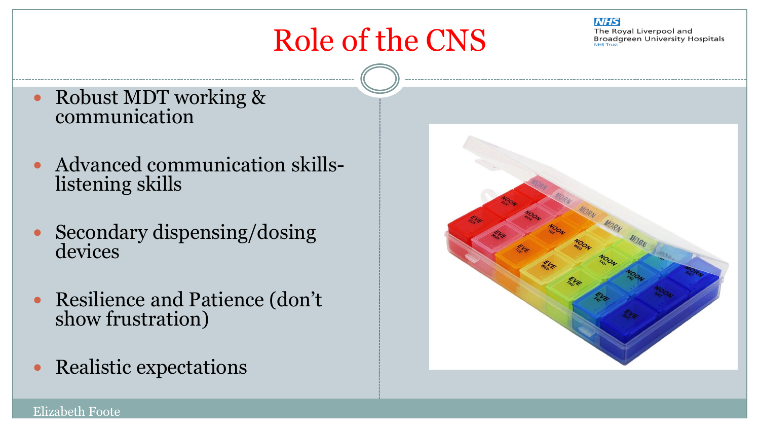

The Royal Liverpool and **Broadgreen University Hospitals** 

- Robust MDT working & communication
- Advanced communication skillslistening skills
- Secondary dispensing/dosing devices
- Resilience and Patience (don't show frustration)
- Realistic expectations

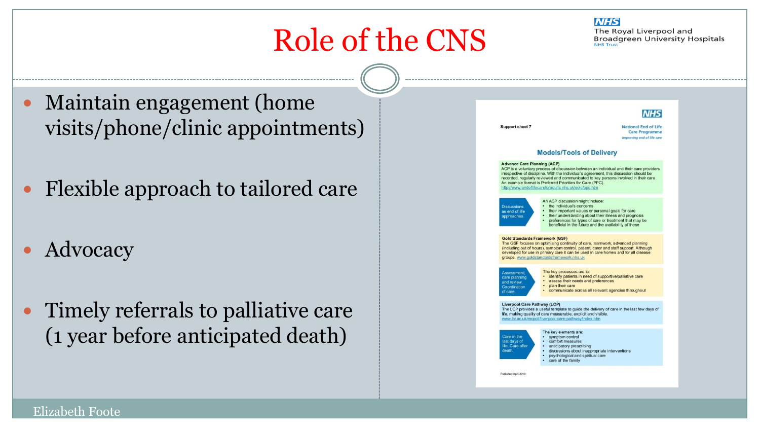

The Royal Liverpool and **Broadgreen University Hospitals NHS Trust** 

- Maintain engagement (home visits/phone/clinic appointments)
- Flexible approach to tailored care
- Advocacy
- Timely referrals to palliative care (1 year before anticipated death)

| Support sheet 7                                                                                                                                                                                                                                                                                                                                                                                                                       |                                                                                                                                                                                                                                                                                                       | <b>National End of Life</b><br><b>Care Programme</b><br>Improving end of life care |
|---------------------------------------------------------------------------------------------------------------------------------------------------------------------------------------------------------------------------------------------------------------------------------------------------------------------------------------------------------------------------------------------------------------------------------------|-------------------------------------------------------------------------------------------------------------------------------------------------------------------------------------------------------------------------------------------------------------------------------------------------------|------------------------------------------------------------------------------------|
|                                                                                                                                                                                                                                                                                                                                                                                                                                       | <b>Models/Tools of Delivery</b>                                                                                                                                                                                                                                                                       |                                                                                    |
| <b>Advance Care Planning (ACP)</b><br>ACP is a voluntary process of discussion between an individual and their care providers<br>irrespective of discipline. With the individual's agreement, this discussion should be<br>recorded, regularly reviewed and communicated to key persons involved in their care.<br>An example format is Preferred Priorities for Care (PPC).<br>http://www.endoflifecareforadults.nhs.uk/eolc/ppc.htm |                                                                                                                                                                                                                                                                                                       |                                                                                    |
| <b>Discussions</b><br>as end of life<br>approaches.                                                                                                                                                                                                                                                                                                                                                                                   | An ACP discussion might include:<br>• the individual's concerns<br>• their important values or personal goals for care<br>• their understanding about their illness and prognosis<br>preferences for types of care or treatment that may be<br>beneficial in the future and the availability of these |                                                                                    |
| <b>Gold Standards Framework (GSF)</b><br>The GSF focuses on optimising continuity of care, teamwork, advanced planning<br>(including out of hours), symptom control, patient, carer and staff support. Although<br>developed for use in primary care it can be used in care homes and for all disease<br>groups. www.goldstandardsframework.nhs.uk                                                                                    |                                                                                                                                                                                                                                                                                                       |                                                                                    |
| Assessment,<br>care planning<br>and review.<br>• plan their care<br>Coordination<br>of care.                                                                                                                                                                                                                                                                                                                                          | The key processes are to:<br>· identify patients in need of supportive/palliative care<br>· assess their needs and preferences<br>· communicate across all relevant agencies throughout                                                                                                               |                                                                                    |
| <b>Liverpool Care Pathway (LCP)</b><br>The LCP provides a useful template to quide the delivery of care in the last few days of<br>life, making quality of care measurable, explicit and visible.<br>www.liv.ac.uk/mcocil/liverpool-care-pathway/index.htm                                                                                                                                                                            |                                                                                                                                                                                                                                                                                                       |                                                                                    |
| Care in the<br>· symptom control<br>last days of<br>life. Care after<br>death.                                                                                                                                                                                                                                                                                                                                                        | The key elements are:<br>· comfort measures<br>· anticipatory prescribing<br>· discussions about inappropriate interventions<br>psychological and spiritual care<br>care of the family                                                                                                                |                                                                                    |
| Published April 2010                                                                                                                                                                                                                                                                                                                                                                                                                  |                                                                                                                                                                                                                                                                                                       |                                                                                    |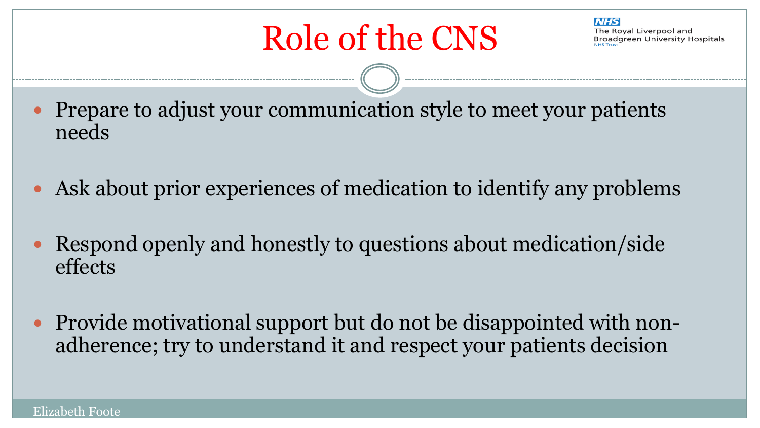**NHS** The Roval Liverpool and **Broadgreen University Hospitals** 

- Prepare to adjust your communication style to meet your patients needs
- Ask about prior experiences of medication to identify any problems
- Respond openly and honestly to questions about medication/side effects
- Provide motivational support but do not be disappointed with nonadherence; try to understand it and respect your patients decision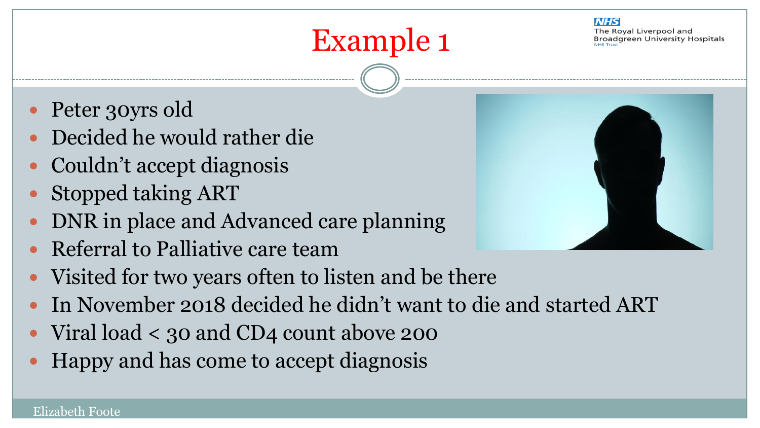### Example 1

- Peter 30yrs old
- Decided he would rather die
- Couldn't accept diagnosis
- Stopped taking ART
- DNR in place and Advanced care planning
- Referral to Palliative care team
- Visited for two years often to listen and be there
- In November 2018 decided he didn't want to die and started ART
- Viral load < 30 and CD4 count above 200
- Happy and has come to accept diagnosis

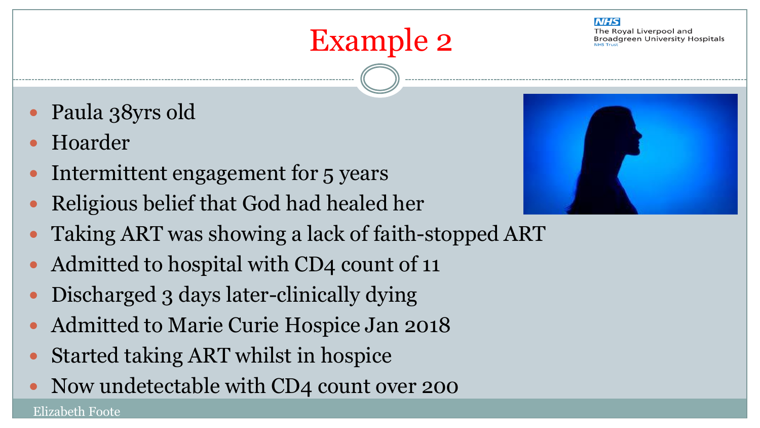### Example 2

#### **NHS**

The Roval Liverpool and **Broadgreen University Hospitals** 

- Paula 38yrs old
- Hoarder

- Intermittent engagement for 5 years
- Religious belief that God had healed her
- Taking ART was showing a lack of faith-stopped ART
- Admitted to hospital with CD4 count of 11
- Discharged 3 days later-clinically dying
- Admitted to Marie Curie Hospice Jan 2018
- Started taking ART whilst in hospice
- Now undetectable with CD4 count over 200

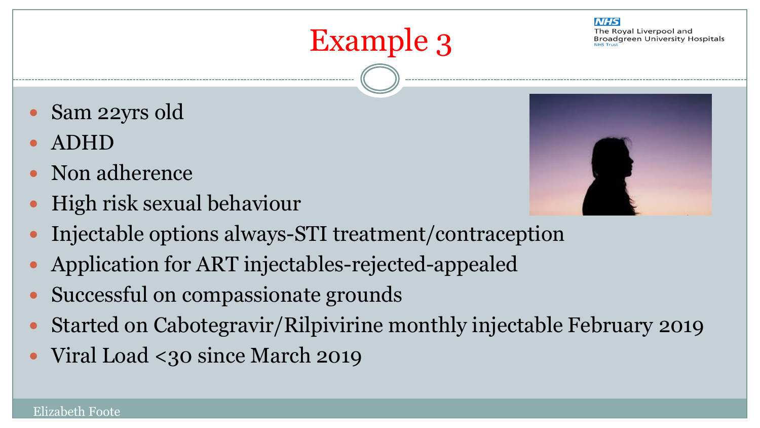- Sam 22yrs old
- ADHD
- Non adherence
- High risk sexual behaviour
- Injectable options always-STI treatment/contraception
- Application for ART injectables-rejected-appealed
- Successful on compassionate grounds
- Started on Cabotegravir/Rilpivirine monthly injectable February 2019

Example 3

• Viral Load <30 since March 2019



**NHS**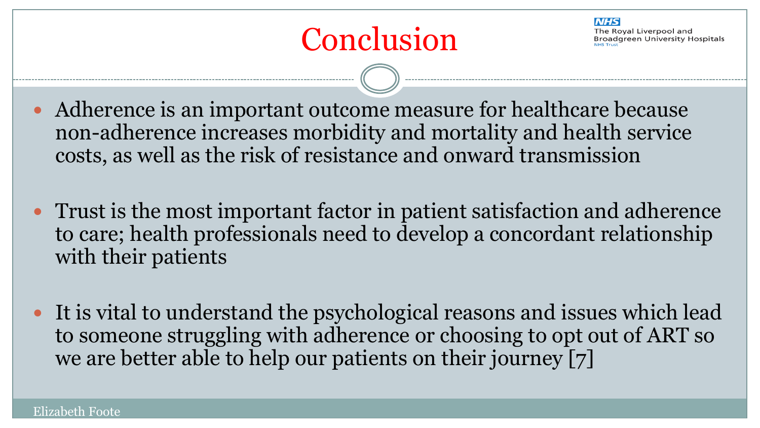### Conclusion

**NIHS** The Roval Liverpool and **Broadgreen University Hospitals** 

 Adherence is an important outcome measure for healthcare because non-adherence increases morbidity and mortality and health service costs, as well as the risk of resistance and onward transmission

- Trust is the most important factor in patient satisfaction and adherence to care; health professionals need to develop a concordant relationship with their patients
- It is vital to understand the psychological reasons and issues which lead to someone struggling with adherence or choosing to opt out of ART so we are better able to help our patients on their journey [7]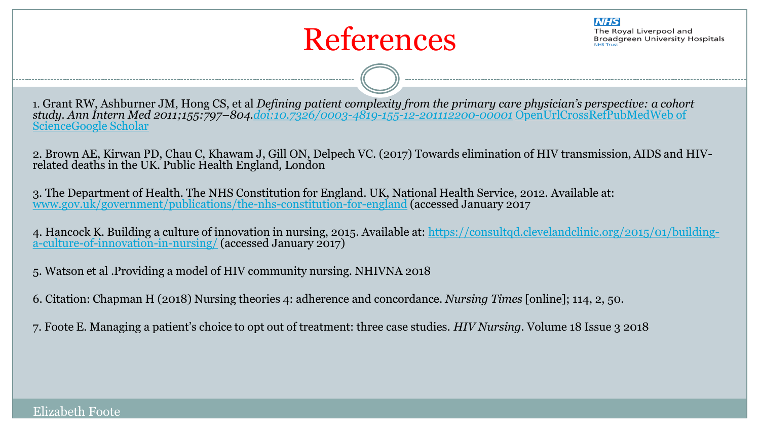

**NHS** 

The Roval Liverpool and **Broadgreen University Hospitals** 

1. Grant RW, Ashburner JM, Hong CS, et al *Defining patient complexity from the primary care physician's perspective: a co[h](https://bmjopen.bmj.com/lookup/external-ref?access_num=000298280500013&link_type=ISI)ort study. Ann Int[e](https://bmjopen.bmj.com/lookup/google-scholar?link_type=googlescholar&gs_type=article&author[0]=RW+Grant&author[1]=JM+Ashburner&author[2]=CS+Hong&title=Defining+patient+complexity+from+the+primary+care+physician’s+perspective:+a+cohort+study&publication_year=2011&journal=Ann+Intern+Med&volume=155&pages=797-804)rn Med 2011;155:797–804[.doi:10.7326/0003-4819-155-12-201112200-00001](http://dx.doi.org/10.7326/0003-4819-155-12-201112200-00001)* [OpenUrl](https://bmjopen.bmj.com/content/7/11/{openurl}?query=rft.jtitle%3DAnnals%2Bof%2BInternal%2BMedicine%26rft.stitle%3DANN%2BINTERN%2BMED%26rft.aulast%3DGrant%26rft.auinit1%3DR.%2BW.%26rft.volume%3D155%26rft.issue%3D12%26rft.spage%3D797%26rft.epage%3D804%26rft.atitle%3DDefining%2Bpatient%2Bcomplexity%2Bfrom%2Bthe%2Bprimary%2Bcare%2Bphysician)[CrossRef](https://bmjopen.bmj.com/lookup/external-ref?access_num=10.7326/0003-4819-155-12-201112200-00001&link_type=DOI)[PubMed](https://bmjopen.bmj.com/lookup/external-ref?access_num=22184686&link_type=MED&atom=/bmjopen/7/11/e016400.atom)[Web](https://bmjopen.bmj.com/lookup/external-ref?access_num=000298280500013&link_type=ISI) [of](https://bmjopen.bmj.com/lookup/external-ref?access_num=000298280500013&link_type=ISI)  [Science](https://bmjopen.bmj.com/lookup/external-ref?access_num=000298280500013&link_type=ISI)[Google](https://bmjopen.bmj.com/lookup/google-scholar?link_type=googlescholar&gs_type=article&author[0]=RW+Grant&author[1]=JM+Ashburner&author[2]=CS+Hong&title=Defining+patient+complexity+from+the+primary+care+physician’s+perspective:+a+cohort+study&publication_year=2011&journal=Ann+Intern+Med&volume=155&pages=797-804) [Scholar](https://bmjopen.bmj.com/lookup/google-scholar?link_type=googlescholar&gs_type=article&author[0]=RW+Grant&author[1]=JM+Ashburner&author[2]=CS+Hong&title=Defining+patient+complexity+from+the+primary+care+physician’s+perspective:+a+cohort+study&publication_year=2011&journal=Ann+Intern+Med&volume=155&pages=797-804)

2. Brown AE, Kirwan PD, Chau C, Khawam J, Gill ON, Delpech VC. (2017) Towards elimination of HIV transmission, AIDS and HIVrelated deaths in the UK. Public Health England, London

3. The Department of Health. The NHS Constitution for England. UK, National Health Service, 2012. Available at: [www.gov.uk/government/publications/the-nhs-constitution-for-england](http://www.gov.uk/government/publications/the-nhs-constitution-for-england) (accessed January 2017

4. Hancock K. Building a culture of innovation in nursing, 2015. Available at: [https://consultqd.clevelandclinic.org/2015/01/building](https://consultqd.clevelandclinic.org/2015/01/building-a-culture-of-innovation-in-nursing/)[a-culture-of-innovation-in-nursing/](https://consultqd.clevelandclinic.org/2015/01/building-a-culture-of-innovation-in-nursing/) (accessed January 2017)

5. Watson et al .Providing a model of HIV community nursing. NHIVNA 2018

6. Citation: Chapman H (2018) Nursing theories 4: adherence and concordance. *Nursing Times* [online]; 114, 2, 50.

7. Foote E. Managing a patient's choice to opt out of treatment: three case studies. *HIV Nursing.* Volume 18 Issue 3 2018